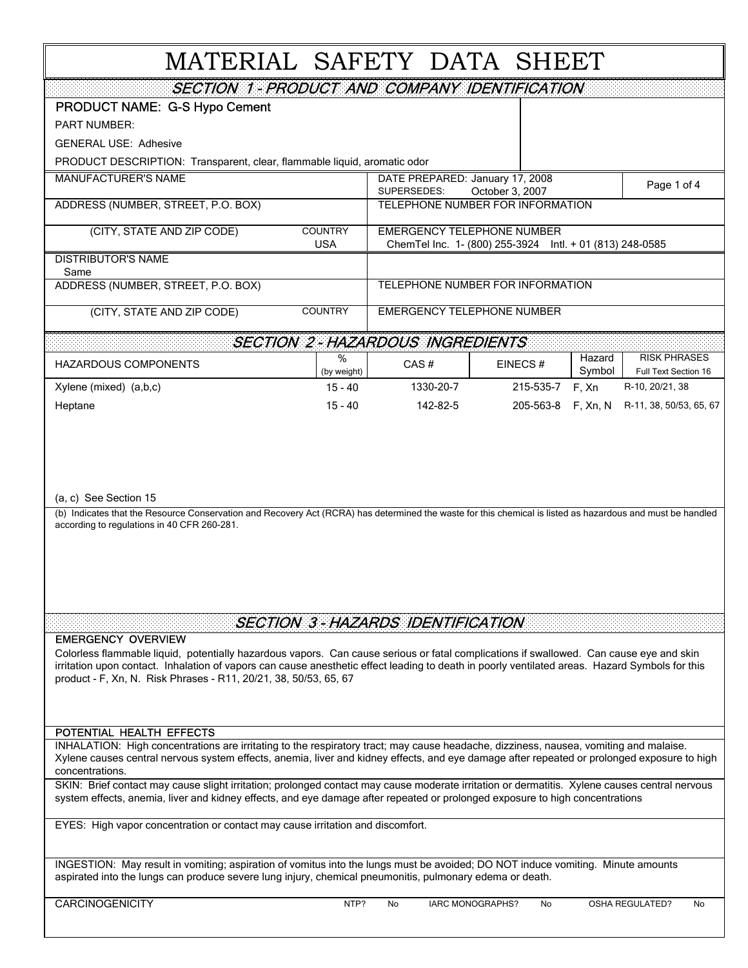# MATERIAL SAFETY DATA SHEET

| <b>SECTION 1 - PRODUCT AND COMPANY IDENTIFICATION</b>                                                                                                                                                                                                                                                                                                         |                                                                                  |                                                                                               |                                  |                  |                                             |  |  |
|---------------------------------------------------------------------------------------------------------------------------------------------------------------------------------------------------------------------------------------------------------------------------------------------------------------------------------------------------------------|----------------------------------------------------------------------------------|-----------------------------------------------------------------------------------------------|----------------------------------|------------------|---------------------------------------------|--|--|
| <b>PRODUCT NAME: G-S Hypo Cement</b>                                                                                                                                                                                                                                                                                                                          |                                                                                  |                                                                                               |                                  |                  |                                             |  |  |
| <b>PART NUMBER:</b>                                                                                                                                                                                                                                                                                                                                           |                                                                                  |                                                                                               |                                  |                  |                                             |  |  |
| <b>GENERAL USE: Adhesive</b>                                                                                                                                                                                                                                                                                                                                  |                                                                                  |                                                                                               |                                  |                  |                                             |  |  |
| PRODUCT DESCRIPTION: Transparent, clear, flammable liquid, aromatic odor                                                                                                                                                                                                                                                                                      |                                                                                  |                                                                                               |                                  |                  |                                             |  |  |
| <b>MANUFACTURER'S NAME</b>                                                                                                                                                                                                                                                                                                                                    | DATE PREPARED: January 17, 2008<br>Page 1 of 4<br>SUPERSEDES:<br>October 3, 2007 |                                                                                               |                                  |                  |                                             |  |  |
| ADDRESS (NUMBER, STREET, P.O. BOX)                                                                                                                                                                                                                                                                                                                            | TELEPHONE NUMBER FOR INFORMATION                                                 |                                                                                               |                                  |                  |                                             |  |  |
| <b>COUNTRY</b><br>(CITY, STATE AND ZIP CODE)<br><b>USA</b>                                                                                                                                                                                                                                                                                                    |                                                                                  | <b>EMERGENCY TELEPHONE NUMBER</b><br>ChemTel Inc. 1- (800) 255-3924 Intl. + 01 (813) 248-0585 |                                  |                  |                                             |  |  |
| <b>DISTRIBUTOR'S NAME</b>                                                                                                                                                                                                                                                                                                                                     |                                                                                  |                                                                                               |                                  |                  |                                             |  |  |
| ADDRESS (NUMBER, STREET, P.O. BOX)                                                                                                                                                                                                                                                                                                                            | Same                                                                             |                                                                                               | TELEPHONE NUMBER FOR INFORMATION |                  |                                             |  |  |
| (CITY, STATE AND ZIP CODE)                                                                                                                                                                                                                                                                                                                                    | <b>COUNTRY</b>                                                                   | <b>EMERGENCY TELEPHONE NUMBER</b>                                                             |                                  |                  |                                             |  |  |
|                                                                                                                                                                                                                                                                                                                                                               |                                                                                  | <b>SECTION 2-HAZARDOUS INGREDIENTS</b>                                                        |                                  |                  |                                             |  |  |
| <b>HAZARDOUS COMPONENTS</b>                                                                                                                                                                                                                                                                                                                                   | %<br>(by weight)                                                                 | CAS#                                                                                          | EINECS#                          | Hazard<br>Symbol | <b>RISK PHRASES</b><br>Full Text Section 16 |  |  |
| Xylene (mixed) (a,b,c)                                                                                                                                                                                                                                                                                                                                        | $15 - 40$                                                                        | 1330-20-7                                                                                     | 215-535-7                        | F, Xn            | R-10, 20/21, 38                             |  |  |
| Heptane                                                                                                                                                                                                                                                                                                                                                       | $15 - 40$                                                                        | 142-82-5                                                                                      | 205-563-8                        | F, Xn, N         | R-11, 38, 50/53, 65, 67                     |  |  |
| (a, c) See Section 15<br>(b) Indicates that the Resource Conservation and Recovery Act (RCRA) has determined the waste for this chemical is listed as hazardous and must be handled<br>according to regulations in 40 CFR 260-281.                                                                                                                            |                                                                                  |                                                                                               |                                  |                  |                                             |  |  |
| <b>EMERGENCY OVERVIEW</b>                                                                                                                                                                                                                                                                                                                                     |                                                                                  | SECTION 3 - HAZARDS IDENTIFICATION                                                            |                                  |                  |                                             |  |  |
| Colorless flammable liquid, potentially hazardous vapors. Can cause serious or fatal complications if swallowed. Can cause eye and skin<br>irritation upon contact. Inhalation of vapors can cause anesthetic effect leading to death in poorly ventilated areas. Hazard Symbols for this<br>product - F, Xn, N. Risk Phrases - R11, 20/21, 38, 50/53, 65, 67 |                                                                                  |                                                                                               |                                  |                  |                                             |  |  |
| POTENTIAL HEALTH EFFECTS                                                                                                                                                                                                                                                                                                                                      |                                                                                  |                                                                                               |                                  |                  |                                             |  |  |
| INHALATION: High concentrations are irritating to the respiratory tract; may cause headache, dizziness, nausea, vomiting and malaise.<br>Xylene causes central nervous system effects, anemia, liver and kidney effects, and eye damage after repeated or prolonged exposure to high<br>concentrations.                                                       |                                                                                  |                                                                                               |                                  |                  |                                             |  |  |
| SKIN: Brief contact may cause slight irritation; prolonged contact may cause moderate irritation or dermatitis. Xylene causes central nervous<br>system effects, anemia, liver and kidney effects, and eye damage after repeated or prolonged exposure to high concentrations                                                                                 |                                                                                  |                                                                                               |                                  |                  |                                             |  |  |
| EYES: High vapor concentration or contact may cause irritation and discomfort.                                                                                                                                                                                                                                                                                |                                                                                  |                                                                                               |                                  |                  |                                             |  |  |
| INGESTION: May result in vomiting; aspiration of vomitus into the lungs must be avoided; DO NOT induce vomiting. Minute amounts<br>aspirated into the lungs can produce severe lung injury, chemical pneumonitis, pulmonary edema or death.                                                                                                                   |                                                                                  |                                                                                               |                                  |                  |                                             |  |  |

CARCINOGENICITY No IARC MONOGRAPHS? No OSHA REGULATED? No

IARC MONOGRAPHS?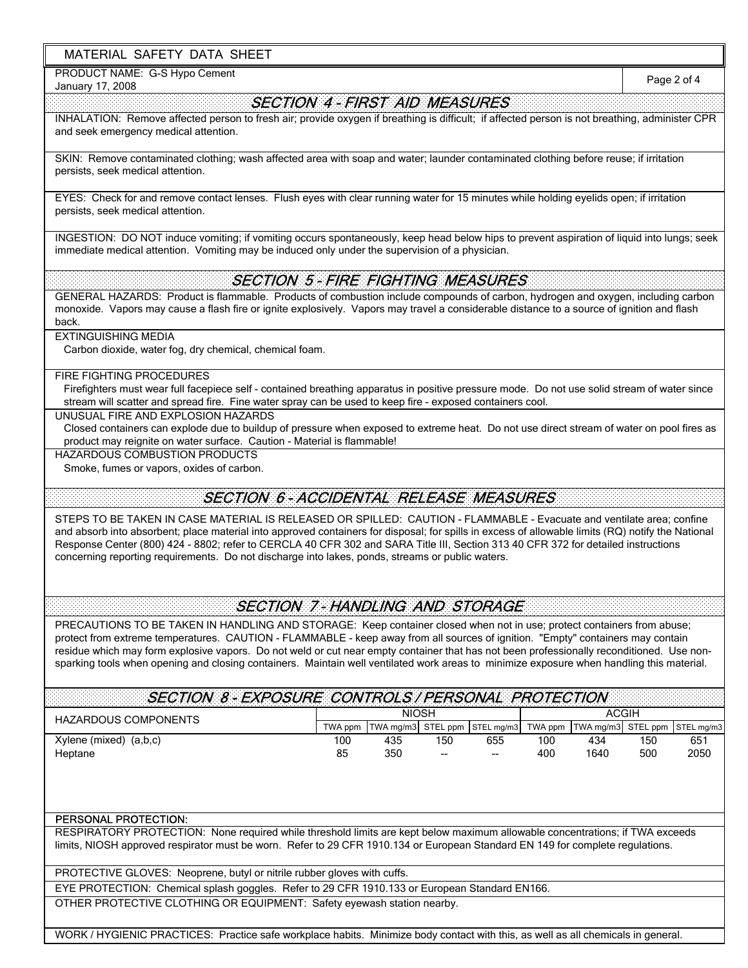## MATERIAL SAFETY DATA SHEET

PRODUCT NAME: G-S Hypo Cement

January 17, 2008

Page 2 of 4

# SECTION 4 - FIRST AID MEASURES

INHALATION: Remove affected person to fresh air; provide oxygen if breathing is difficult; if affected person is not breathing, administer CPR and seek emergency medical attention.

SKIN: Remove contaminated clothing; wash affected area with soap and water; launder contaminated clothing before reuse; if irritation persists, seek medical attention.

EYES: Check for and remove contact lenses. Flush eyes with clear running water for 15 minutes while holding eyelids open; if irritation persists, seek medical attention.

INGESTION: DO NOT induce vomiting; if vomiting occurs spontaneously, keep head below hips to prevent aspiration of liquid into lungs; seek immediate medical attention. Vomiting may be induced only under the supervision of a physician.

# SECTION 5 - FIRE FIGHTING MEASURES

GENERAL HAZARDS: Product is flammable. Products of combustion include compounds of carbon, hydrogen and oxygen, including carbon monoxide. Vapors may cause a flash fire or ignite explosively. Vapors may travel a considerable distance to a source of ignition and flash back.

## EXTINGUISHING MEDIA

Carbon dioxide, water fog, dry chemical, chemical foam.

#### FIRE FIGHTING PROCEDURES

Firefighters must wear full facepiece self - contained breathing apparatus in positive pressure mode. Do not use solid stream of water since stream will scatter and spread fire. Fine water spray can be used to keep fire - exposed containers cool.

UNUSUAL FIRE AND EXPLOSION HAZARDS

Closed containers can explode due to buildup of pressure when exposed to extreme heat. Do not use direct stream of water on pool fires as product may reignite on water surface. Caution - Material is flammable!

HAZARDOUS COMBUSTION PRODUCTS

Smoke, fumes or vapors, oxides of carbon.

## SECTION 6 - ACCIDENTAL RELEASE MEASURES

STEPS TO BE TAKEN IN CASE MATERIAL IS RELEASED OR SPILLED: CAUTION - FLAMMABLE - Evacuate and ventilate area; confine and absorb into absorbent; place material into approved containers for disposal; for spills in excess of allowable limits (RQ) notify the National Response Center (800) 424 - 8802; refer to CERCLA 40 CFR 302 and SARA Title III, Section 313 40 CFR 372 for detailed instructions concerning reporting requirements. Do not discharge into lakes, ponds, streams or public waters.

# SECTION 7 - HANDLING AND STORAGE

PRECAUTIONS TO BE TAKEN IN HANDLING AND STORAGE: Keep container closed when not in use; protect containers from abuse; protect from extreme temperatures. CAUTION - FLAMMABLE - keep away from all sources of ignition. "Empty" containers may contain residue which may form explosive vapors. Do not weld or cut near empty container that has not been professionally reconditioned. Use nonsparking tools when opening and closing containers. Maintain well ventilated work areas to minimize exposure when handling this material.

| <b>SECTION 8-EXPOSURE CONTROLS/PERSONAL PROTECTION</b> |         |     |       |                               |         |                               |     |      |
|--------------------------------------------------------|---------|-----|-------|-------------------------------|---------|-------------------------------|-----|------|
| <b>HAZARDOUS COMPONENTS</b>                            | NIOSH   |     |       |                               | ACGIH   |                               |     |      |
|                                                        | TWA ppm |     |       | TWA mg/m3 STEL ppm STEL mg/m3 | TWA ppm | TWA mg/m3 STEL ppm STEL mg/m3 |     |      |
| Xylene (mixed)<br>(a,b,c)                              | 100     | 435 | 150   | 655                           | 100     | 434                           | 150 | 651  |
| Heptane                                                | 85      | 350 | $- -$ | --                            | 400     | 1640                          | 500 | 2050 |

## PERSONAL PROTECTION:

RESPIRATORY PROTECTION: None required while threshold limits are kept below maximum allowable concentrations; if TWA exceeds limits, NIOSH approved respirator must be worn. Refer to 29 CFR 1910.134 or European Standard EN 149 for complete regulations.

PROTECTIVE GLOVES: Neoprene, butyl or nitrile rubber gloves with cuffs.

EYE PROTECTION: Chemical splash goggles. Refer to 29 CFR 1910.133 or European Standard EN166.

OTHER PROTECTIVE CLOTHING OR EQUIPMENT: Safety eyewash station nearby.

WORK / HYGIENIC PRACTICES: Practice safe workplace habits. Minimize body contact with this, as well as all chemicals in general.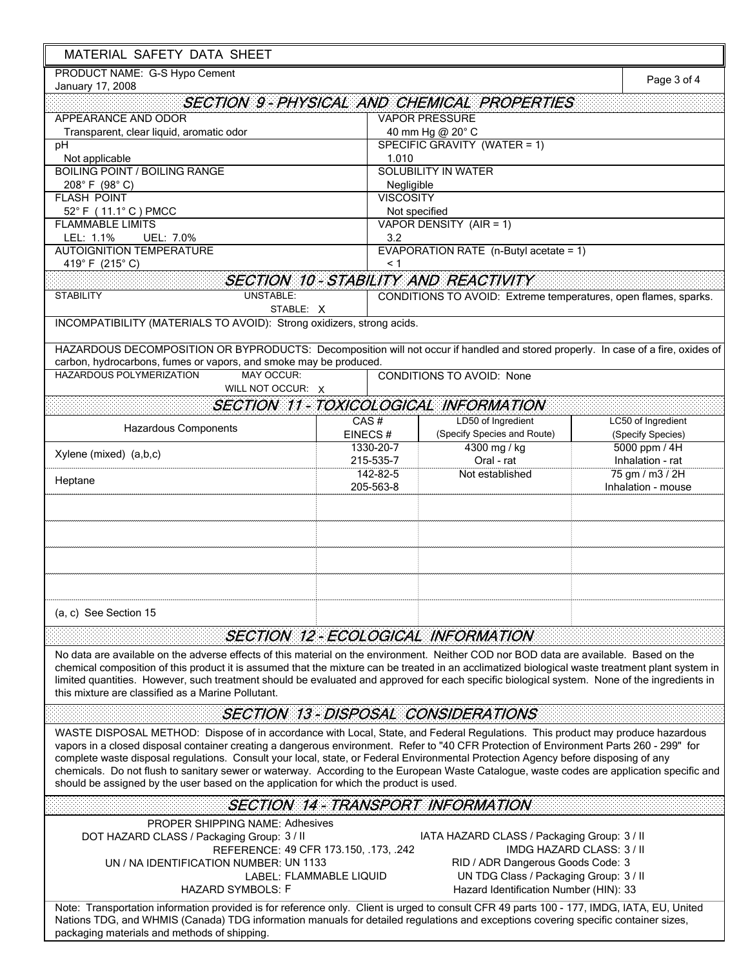| MATERIAL SAFETY DATA SHEET                                                                                                                                                                                                                                                                                                                                                                                                                                                                                                                                                                                                                              |                                                                  |                                                                                                                                                                      |                           |  |  |  |  |
|---------------------------------------------------------------------------------------------------------------------------------------------------------------------------------------------------------------------------------------------------------------------------------------------------------------------------------------------------------------------------------------------------------------------------------------------------------------------------------------------------------------------------------------------------------------------------------------------------------------------------------------------------------|------------------------------------------------------------------|----------------------------------------------------------------------------------------------------------------------------------------------------------------------|---------------------------|--|--|--|--|
| PRODUCT NAME: G-S Hypo Cement<br>January 17, 2008                                                                                                                                                                                                                                                                                                                                                                                                                                                                                                                                                                                                       |                                                                  |                                                                                                                                                                      | Page 3 of 4               |  |  |  |  |
|                                                                                                                                                                                                                                                                                                                                                                                                                                                                                                                                                                                                                                                         |                                                                  | <b>SECTION 9-PHYSICAL AND CHEMICAL PROPERTIES</b>                                                                                                                    |                           |  |  |  |  |
| APPEARANCE AND ODOR                                                                                                                                                                                                                                                                                                                                                                                                                                                                                                                                                                                                                                     |                                                                  | <b>VAPOR PRESSURE</b>                                                                                                                                                |                           |  |  |  |  |
| Transparent, clear liquid, aromatic odor                                                                                                                                                                                                                                                                                                                                                                                                                                                                                                                                                                                                                |                                                                  | 40 mm Hg @ 20° C                                                                                                                                                     |                           |  |  |  |  |
| pH                                                                                                                                                                                                                                                                                                                                                                                                                                                                                                                                                                                                                                                      |                                                                  | SPECIFIC GRAVITY (WATER = 1)                                                                                                                                         |                           |  |  |  |  |
| Not applicable                                                                                                                                                                                                                                                                                                                                                                                                                                                                                                                                                                                                                                          |                                                                  | 1.010                                                                                                                                                                |                           |  |  |  |  |
| <b>BOILING POINT / BOILING RANGE</b><br>$208^{\circ}$ F (98° C)                                                                                                                                                                                                                                                                                                                                                                                                                                                                                                                                                                                         |                                                                  | <b>SOLUBILITY IN WATER</b>                                                                                                                                           |                           |  |  |  |  |
| <b>FLASH POINT</b>                                                                                                                                                                                                                                                                                                                                                                                                                                                                                                                                                                                                                                      |                                                                  | Negligible<br><b>VISCOSITY</b>                                                                                                                                       |                           |  |  |  |  |
| 52° F (11.1° C) PMCC                                                                                                                                                                                                                                                                                                                                                                                                                                                                                                                                                                                                                                    |                                                                  | Not specified                                                                                                                                                        |                           |  |  |  |  |
| <b>FLAMMABLE LIMITS</b>                                                                                                                                                                                                                                                                                                                                                                                                                                                                                                                                                                                                                                 |                                                                  | VAPOR DENSITY (AIR = 1)                                                                                                                                              |                           |  |  |  |  |
| LEL: 1.1%<br>UEL: 7.0%                                                                                                                                                                                                                                                                                                                                                                                                                                                                                                                                                                                                                                  | 3.2                                                              |                                                                                                                                                                      |                           |  |  |  |  |
| <b>AUTOIGNITION TEMPERATURE</b>                                                                                                                                                                                                                                                                                                                                                                                                                                                                                                                                                                                                                         |                                                                  | EVAPORATION RATE (n-Butyl acetate = 1)                                                                                                                               |                           |  |  |  |  |
| 419°F (215°C)                                                                                                                                                                                                                                                                                                                                                                                                                                                                                                                                                                                                                                           | < 1                                                              |                                                                                                                                                                      |                           |  |  |  |  |
|                                                                                                                                                                                                                                                                                                                                                                                                                                                                                                                                                                                                                                                         |                                                                  | SECTION 10 - STABILITY AND REACTIVITY                                                                                                                                |                           |  |  |  |  |
| <b>UNSTABLE:</b><br><b>STABILITY</b>                                                                                                                                                                                                                                                                                                                                                                                                                                                                                                                                                                                                                    |                                                                  | CONDITIONS TO AVOID: Extreme temperatures, open flames, sparks.                                                                                                      |                           |  |  |  |  |
| STABLE: X                                                                                                                                                                                                                                                                                                                                                                                                                                                                                                                                                                                                                                               |                                                                  |                                                                                                                                                                      |                           |  |  |  |  |
| INCOMPATIBILITY (MATERIALS TO AVOID): Strong oxidizers, strong acids.                                                                                                                                                                                                                                                                                                                                                                                                                                                                                                                                                                                   |                                                                  |                                                                                                                                                                      |                           |  |  |  |  |
| HAZARDOUS DECOMPOSITION OR BYPRODUCTS: Decomposition will not occur if handled and stored properly. In case of a fire, oxides of                                                                                                                                                                                                                                                                                                                                                                                                                                                                                                                        |                                                                  |                                                                                                                                                                      |                           |  |  |  |  |
| carbon, hydrocarbons, fumes or vapors, and smoke may be produced.                                                                                                                                                                                                                                                                                                                                                                                                                                                                                                                                                                                       |                                                                  |                                                                                                                                                                      |                           |  |  |  |  |
| HAZARDOUS POLYMERIZATION<br><b>MAY OCCUR:</b>                                                                                                                                                                                                                                                                                                                                                                                                                                                                                                                                                                                                           |                                                                  | <b>CONDITIONS TO AVOID: None</b>                                                                                                                                     |                           |  |  |  |  |
| WILL NOT OCCUR: X                                                                                                                                                                                                                                                                                                                                                                                                                                                                                                                                                                                                                                       |                                                                  |                                                                                                                                                                      |                           |  |  |  |  |
|                                                                                                                                                                                                                                                                                                                                                                                                                                                                                                                                                                                                                                                         |                                                                  | SECTION 11 - TOXICOLOGICAL INFORMATION                                                                                                                               |                           |  |  |  |  |
|                                                                                                                                                                                                                                                                                                                                                                                                                                                                                                                                                                                                                                                         | CAS#                                                             | LD50 of Ingredient                                                                                                                                                   | LC50 of Ingredient        |  |  |  |  |
| <b>Hazardous Components</b>                                                                                                                                                                                                                                                                                                                                                                                                                                                                                                                                                                                                                             | EINECS#                                                          | (Specify Species and Route)                                                                                                                                          | (Specify Species)         |  |  |  |  |
| Xylene (mixed) (a,b,c)                                                                                                                                                                                                                                                                                                                                                                                                                                                                                                                                                                                                                                  | 1330-20-7                                                        | 4300 mg / kg                                                                                                                                                         | 5000 ppm / 4H             |  |  |  |  |
|                                                                                                                                                                                                                                                                                                                                                                                                                                                                                                                                                                                                                                                         | 215-535-7                                                        | Oral - rat                                                                                                                                                           | Inhalation - rat          |  |  |  |  |
| Heptane                                                                                                                                                                                                                                                                                                                                                                                                                                                                                                                                                                                                                                                 | 142-82-5                                                         | Not established                                                                                                                                                      | 75 gm / m3 / 2H           |  |  |  |  |
|                                                                                                                                                                                                                                                                                                                                                                                                                                                                                                                                                                                                                                                         | 205-563-8                                                        |                                                                                                                                                                      | Inhalation - mouse        |  |  |  |  |
|                                                                                                                                                                                                                                                                                                                                                                                                                                                                                                                                                                                                                                                         |                                                                  |                                                                                                                                                                      |                           |  |  |  |  |
|                                                                                                                                                                                                                                                                                                                                                                                                                                                                                                                                                                                                                                                         |                                                                  |                                                                                                                                                                      |                           |  |  |  |  |
| (a, c) See Section 15                                                                                                                                                                                                                                                                                                                                                                                                                                                                                                                                                                                                                                   |                                                                  |                                                                                                                                                                      |                           |  |  |  |  |
|                                                                                                                                                                                                                                                                                                                                                                                                                                                                                                                                                                                                                                                         |                                                                  | <b>SECTION 12-ECOLOGICAL INFORMATION</b>                                                                                                                             |                           |  |  |  |  |
| No data are available on the adverse effects of this material on the environment. Neither COD nor BOD data are available. Based on the<br>chemical composition of this product it is assumed that the mixture can be treated in an acclimatized biological waste treatment plant system in<br>limited quantities. However, such treatment should be evaluated and approved for each specific biological system. None of the ingredients in<br>this mixture are classified as a Marine Pollutant.                                                                                                                                                        |                                                                  |                                                                                                                                                                      |                           |  |  |  |  |
|                                                                                                                                                                                                                                                                                                                                                                                                                                                                                                                                                                                                                                                         |                                                                  | <b>SECTION 13 - DISPOSAL CONSIDERATIONS</b>                                                                                                                          |                           |  |  |  |  |
| WASTE DISPOSAL METHOD: Dispose of in accordance with Local, State, and Federal Regulations. This product may produce hazardous<br>vapors in a closed disposal container creating a dangerous environment. Refer to "40 CFR Protection of Environment Parts 260 - 299" for<br>complete waste disposal regulations. Consult your local, state, or Federal Environmental Protection Agency before disposing of any<br>chemicals. Do not flush to sanitary sewer or waterway. According to the European Waste Catalogue, waste codes are application specific and<br>should be assigned by the user based on the application for which the product is used. |                                                                  |                                                                                                                                                                      |                           |  |  |  |  |
|                                                                                                                                                                                                                                                                                                                                                                                                                                                                                                                                                                                                                                                         |                                                                  | <b>SECTION 14 - TRANSPORT INFORMATION</b>                                                                                                                            |                           |  |  |  |  |
| <b>PROPER SHIPPING NAME: Adhesives</b><br>DOT HAZARD CLASS / Packaging Group: 3 / II<br>UN / NA IDENTIFICATION NUMBER: UN 1133<br><b>HAZARD SYMBOLS: F</b>                                                                                                                                                                                                                                                                                                                                                                                                                                                                                              | REFERENCE: 49 CFR 173.150, .173, .242<br>LABEL: FLAMMABLE LIQUID | IATA HAZARD CLASS / Packaging Group: 3 / II<br>RID / ADR Dangerous Goods Code: 3<br>UN TDG Class / Packaging Group: 3 / II<br>Hazard Identification Number (HIN): 33 | IMDG HAZARD CLASS: 3 / II |  |  |  |  |
| Note: Transportation information provided is for reference only. Client is urged to consult CFR 49 parts 100 - 177, IMDG, IATA, EU, United<br>Nations TDG, and WHMIS (Canada) TDG information manuals for detailed regulations and exceptions covering specific container sizes,<br>packaging materials and methods of shipping.                                                                                                                                                                                                                                                                                                                        |                                                                  |                                                                                                                                                                      |                           |  |  |  |  |